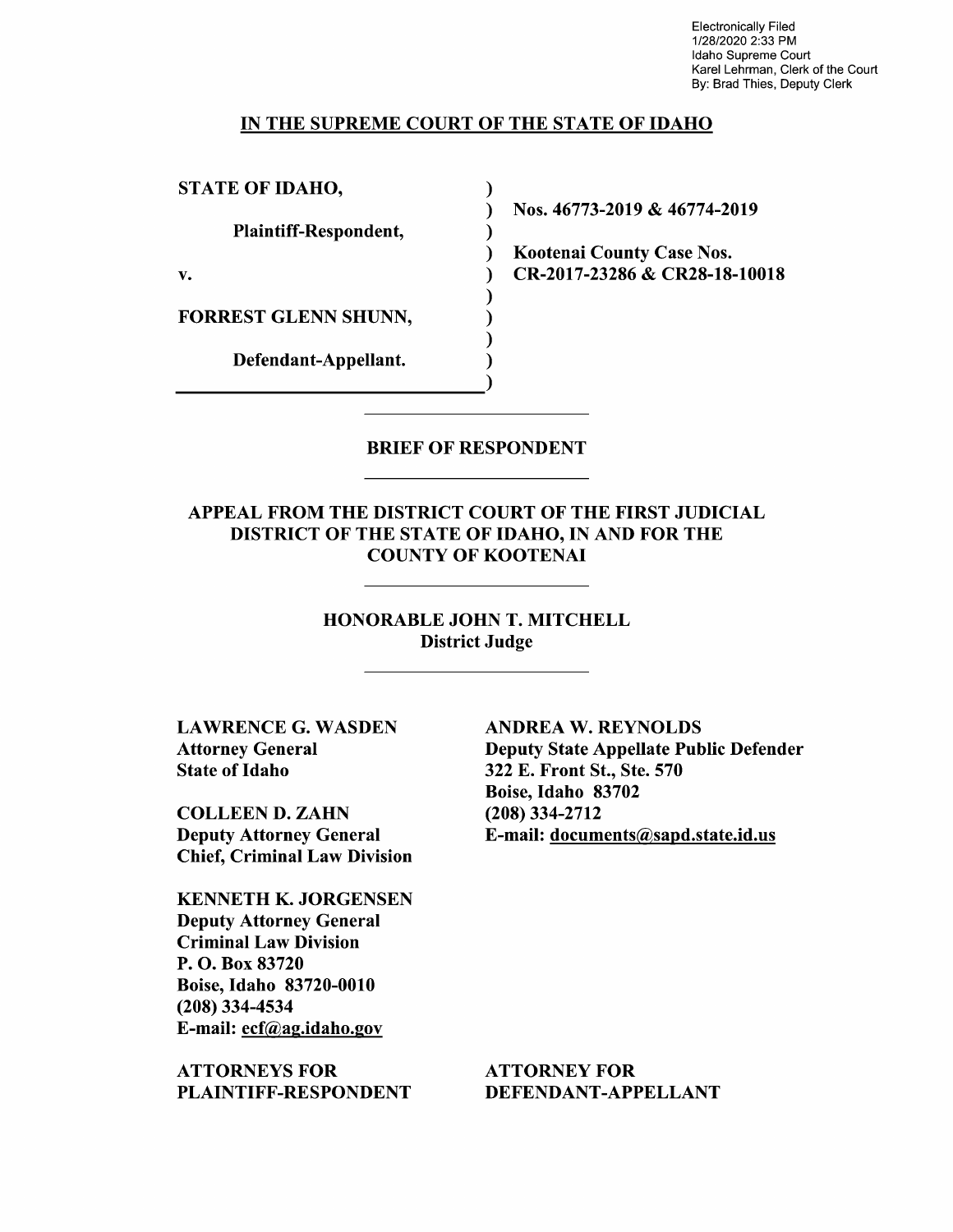Electronically Filed 1/28/2020 2:33 PM Idaho Supreme Court Karel Lehrman, Clerk of the Court By: Brad Thies, Deputy Clerk

### IN THE SUPREME COURT OF THE STATE OF IDAHO

 $\lambda$ 

STATE OF IDAHO,

Plaintiff—Respondent,

FORREST GLENN SHUNN,

Defendant—Appellant.

Nos. 46773-2019 & 46774-2019

Kootenai County Case Nos. v. CR-2017-23286 & CR28-18-10018

### BRIEF OF RESPONDENT

APPEAL FROM THE DISTRICT COURT OF THE FIRST JUDICIAL DISTRICT OF THE STATE OF IDAHO, IN AND FOR THE COUNTY OF KOOTENAI

> HONORABLE JOHN T. MITCHELL District Judge

LAWRENCE G. WASDEN Attorney General State 0f Idaho

COLLEEN D. ZAHN Deputy Attorney General Chief, Criminal Law Division

KENNETH K. JORGENSEN Deputy Attorney General Criminal Law Division P. O. Box 83720 Boise, Idaho 83720-0010 (208) 334-4534 E-mail: ecf@ag.idah0.gov

ATTORNEYS FOR PLAINTIFF—RESPONDENT ANDREA W. REYNOLDS Deputy State Appellate Public Defender 322 E. Front St., Ste. 570 Boise, Idaho 83702 (208) 334-2712 E-mail: documents@sapd.state.id.us

ATTORNEY FOR DEFENDANT-APPELLANT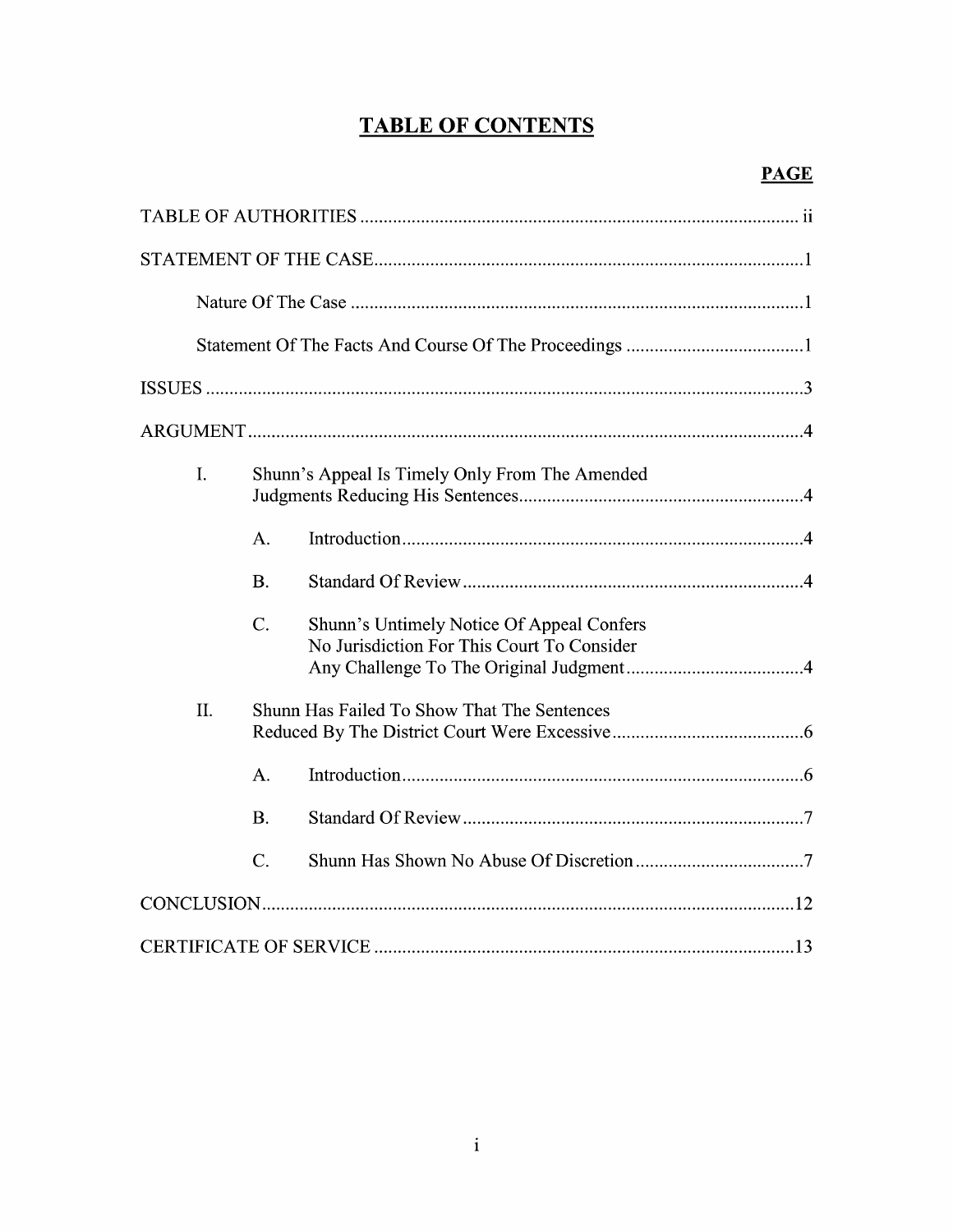## **TABLE OF CONTENTS**

| I.  | Shunn's Appeal Is Timely Only From The Amended |                                                                                         |  |
|-----|------------------------------------------------|-----------------------------------------------------------------------------------------|--|
|     | A.                                             |                                                                                         |  |
|     | <b>B.</b>                                      |                                                                                         |  |
|     | $\overline{C}$ .                               | Shunn's Untimely Notice Of Appeal Confers<br>No Jurisdiction For This Court To Consider |  |
| II. | Shunn Has Failed To Show That The Sentences    |                                                                                         |  |
|     | A <sub>1</sub>                                 |                                                                                         |  |
|     | <b>B.</b>                                      |                                                                                         |  |
|     | $\mathcal{C}$ .                                |                                                                                         |  |
|     |                                                |                                                                                         |  |
|     |                                                |                                                                                         |  |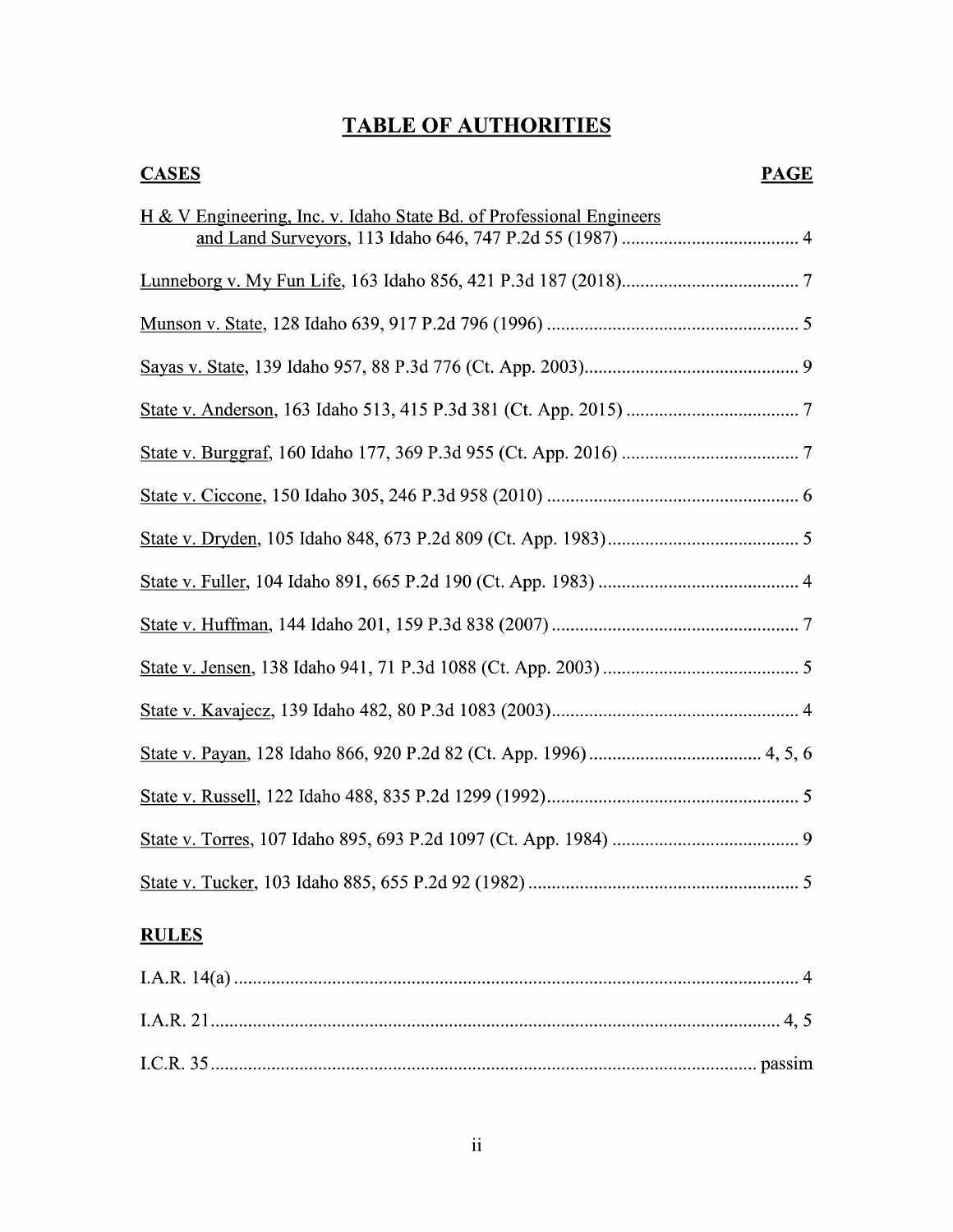## TABLE OF AUTHORITIES

# **CASES PAGE** H & V Engineering, Inc. v. Idaho State Bd. of Professional Engineers and Land Surveyors, 113 Idaho 646, 747 P.2d 55 (1987) ...................................... Lunneborg V. MV Fun Life, <sup>163</sup> Idaho 856, <sup>421</sup> P.3d <sup>187</sup> (2018) ...................................... Munson V.State, 128 Idaho 639, 917 P.2d 796 (1996) ...................................................... Sayas V. State, 139 Idaho 957, 88 P.3d 776 (Ct. App. 2003).............................................. State V. Anderson, 163 Idaho 513, 415 P.3d 381 (Ct. App. 2015) ..................................... State V. Burggraf, 160 Idaho 177, 369 P.3d 955 (Ct. App. 2016) ...................................... State V. Ciccone, 150 Idaho 305, 246 P.3d 958 (2010) ...................................................... State V. Dryden, 105 Idaho 848, 673 P.2d 809 (Ct. App. 1983) ......................................... State V. Fuller, <sup>104</sup> Idaho 891, <sup>665</sup> P.2d 190 (Ct. App. 1983) ........................................... State V. Huffman, 144 Idaho 201, 159 P.3d 838 (2007) ..................................................... State V. Jensen, 138 Idaho 941, 71 P.3d 1088 (Ct. App. 2003) .......................................... State V. Kavajecz, <sup>139</sup> Idaho 482, <sup>80</sup> P.3d 1083 (2003) ..................................................... State V. Payan, <sup>128</sup> Idaho 866, <sup>920</sup> P.2d 82 (Ct. App. 1996) ..................................... 4, 5, State V. Russell, 122 Idaho 488, 835 P.2d 1299 (1992) ...................................................... State V. Torres, 107 Idaho 895, 693 P.2d 1097 (Ct. App. 1984) ........................................ State V. Tucker, 103 Idaho 885, 655 P.2d 92 (1982) ..........................................................

## **RULES**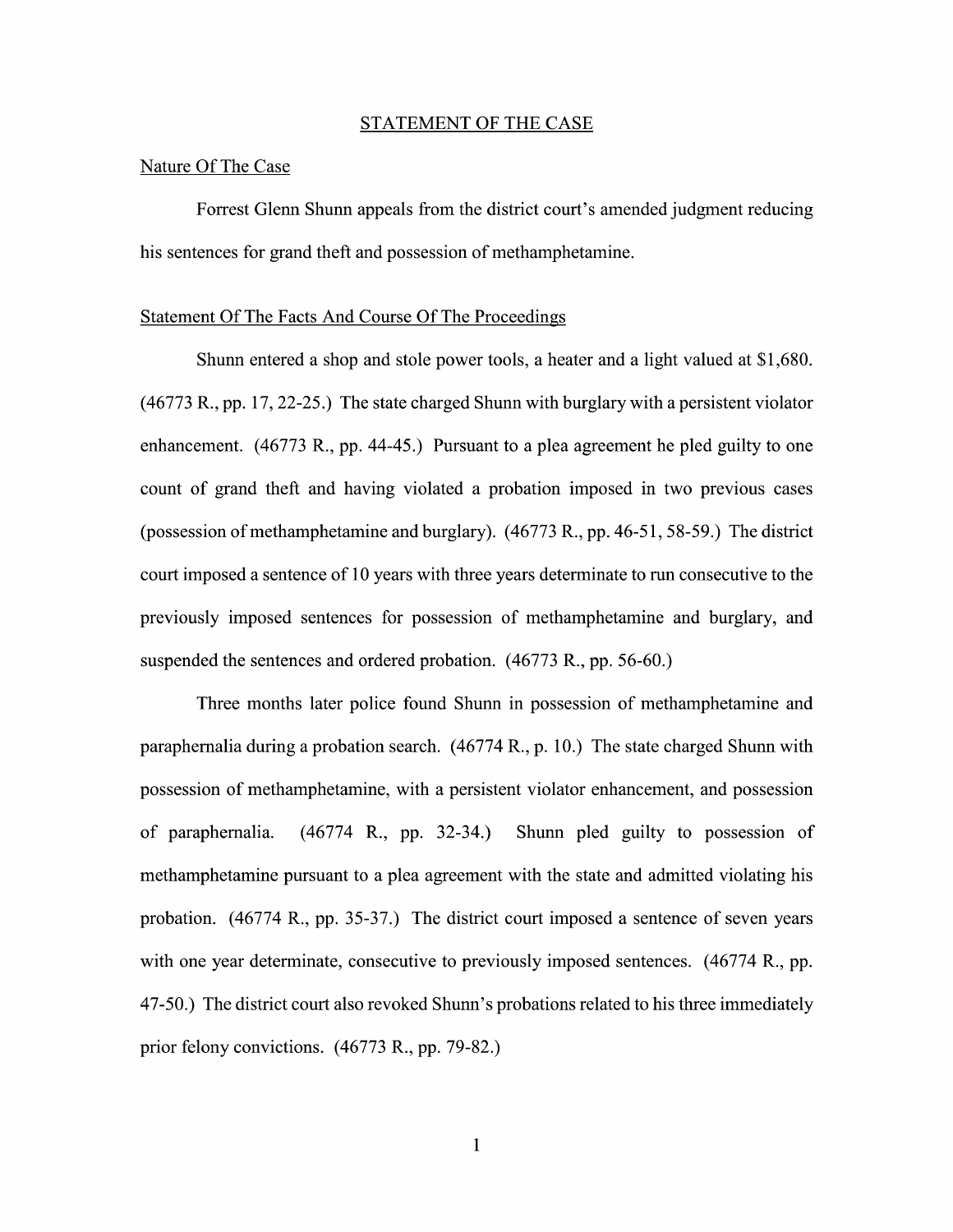#### STATEMENT OF THE CASE

## Nature Of The Case

Forrest Glenn Shunn appeals from the district court's amended judgment reducing his sentences for grand theft and possession of methamphetamine.

#### Statement Of The Facts And Course Of The Proceedings

Shunn entered a shop and stole power tools, a heater and a light valued at  $$1,680$ .  $(46773 R., pp. 17, 22-25.)$  The state charged Shunn with burglary with a persistent violator enhancement.  $(46773 \text{ R}., \text{pp. } 44-45.)$  Pursuant to a plea agreement he pled guilty to one count of grand theft and having violated a probation imposed in two previous cases (possession of methamphetamine and burglary).  $(46773 \text{ R}., \text{pp. } 46-51, 58-59.)$  The district court imposed a sentence of 10 years with three years determinate to run consecutive to the previously imposed sentences for possession of methamphetamine and burglary, and suspended the sentences and ordered probation. (46773 R., pp. 56-60.)

Three months later police found Shunn in possession 0f methamphetamine and paraphernalia during a probation search.  $(46774 \text{ R}., p. 10.)$  The state charged Shunn with possession 0f methamphetamine, With persistent Violator enhancement, and possession 0f paraphernalia. (46774 R., pp. 32-34.) Shunn pled guilty to possession of methamphetamine pursuant to a plea agreement with the state and admitted violating his probation.  $(46774 \text{ R}., \text{pp. } 35-37.)$  The district court imposed a sentence of seven years with one year determinate, consecutive to previously imposed sentences.  $(46774 \text{ R}., \text{pp.})$ 47-50.) The district court also revoked Shunn's probations related to his three immediately prior felony convictions. (46773 R., pp. 79-82.)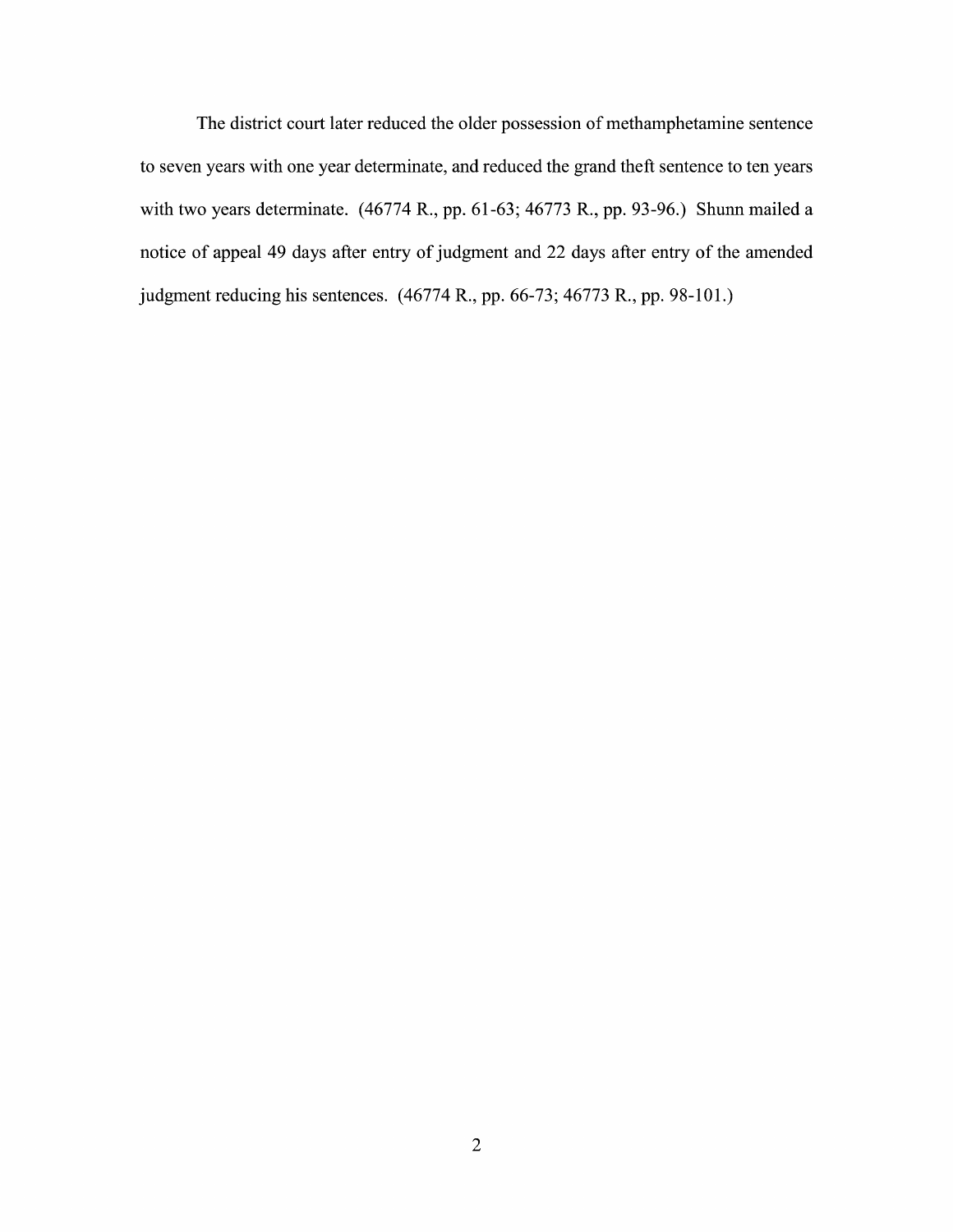The district court later reduced the older possession 0f methamphetamine sentence to seven years with one year determinate, and reduced the grand theft sentence to ten years with two years determinate.  $(46774 \text{ R}., \text{pp. } 61-63; 46773 \text{ R}., \text{pp. } 93-96.)$  Shunn mailed a notice of appeal 49 days after entry of judgment and 22 days after entry of the amended judgment reducing his sentences. (46774 R., pp. 66-73; 46773 R., pp. 98-101.)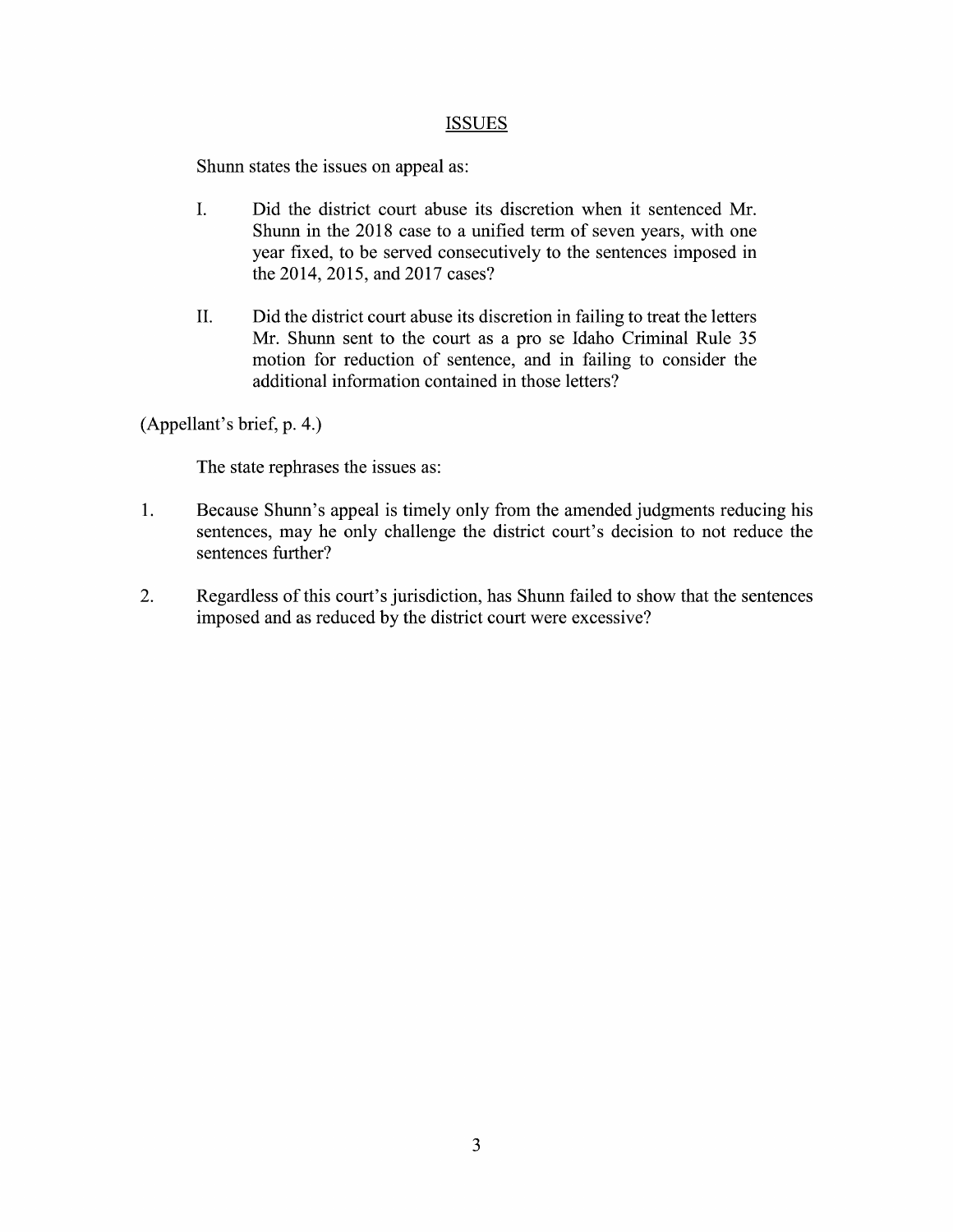## **ISSUES**

Shunn states the issues on appeal as:

- I. Did the district court abuse its discretion When it sentenced Mr. Shunn in the 2018 case to a unified term of seven years, with one year fixed, to be served consecutively to the sentences imposed in the 2014, 2015, and 2017 cases?
- II. Did the district court abuse its discretion in failing to treat the letters Mr. Shunn sent to the court as a pro se Idaho Criminal Rule 35 motion for reduction 0f sentence, and in failing to consider the additional information contained in those letters?

(Appellant's brief, p. 4.)

The state rephrases the issues as:

- 1. Because Shunn's appeal is timely only from the amended judgments reducing his sentences, may he only challenge the district court's decision to not reduce the sentences further?
- 2. Regardless of this court's jurisdiction, has Shunn failed to show that the sentences imposed and as reduced by the district court were excessive?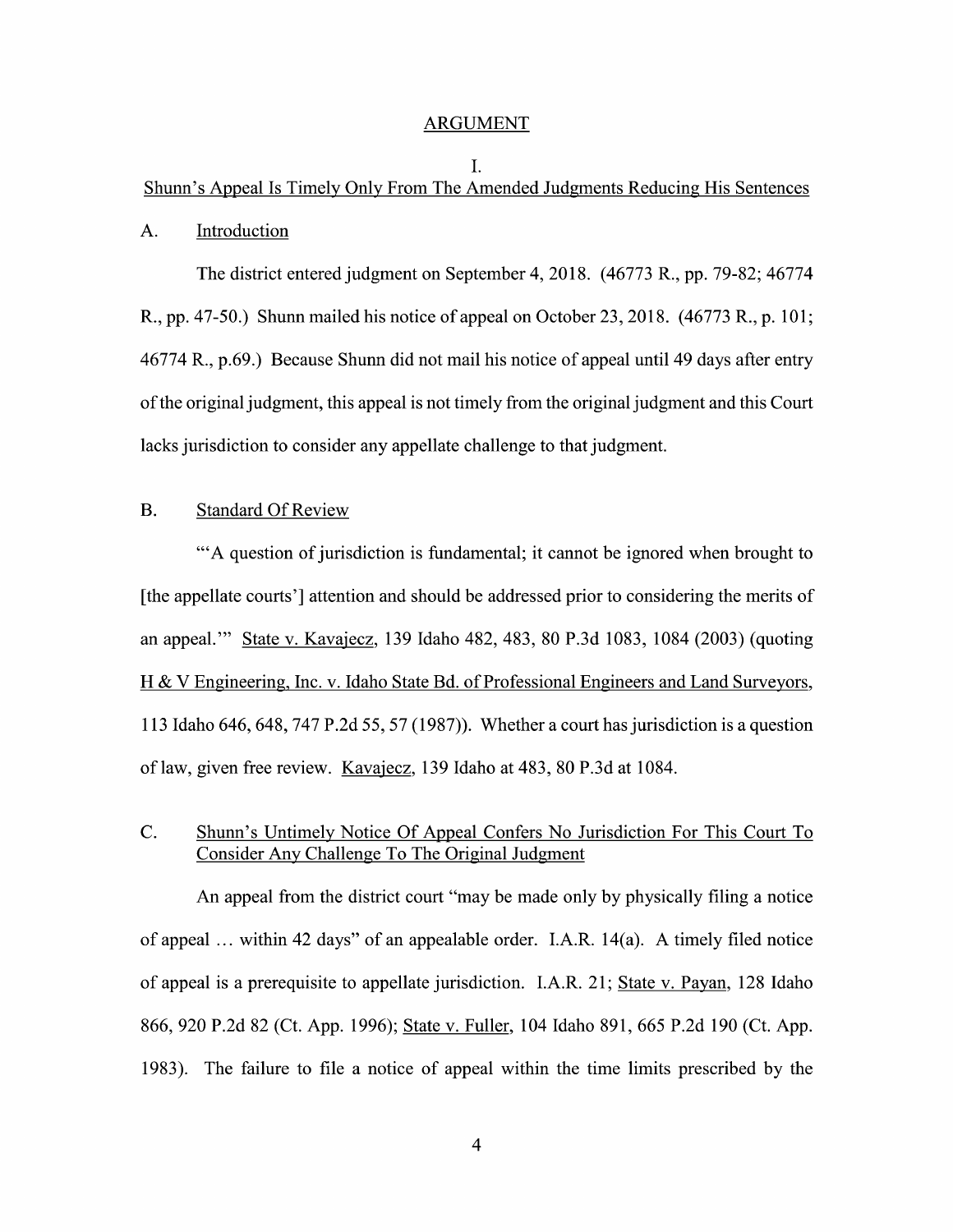#### ARGUMENT

## I. Shunn's Appeal Is Timely Only From The Amended Judgments Reducing His Sentences

### A. Introduction

The district entered judgment 0n September 4, 2018. (46773 R., pp. 79-82; 46774 R., pp. 47-50.) Shunn mailed his notice of appeal on October 23, 2018. (46773 R., p. 101 46774 R., p.69.) Because Shunn did not mail his notice 0f appeal until 49 days after entry ofthe original judgment, this appeal is not timely from the original judgment and this Court lacks jurisdiction to consider any appellate challenge to that judgment.

## B. Standard Of Review

"A question of jurisdiction is fundamental; it cannot be ignored when brought to [the appellate courts'] attention and should be addressed prior to considering the merits of an appeal.'" State V. Kavajecz, 139 Idaho 482, 483, 80 P.3d 1083, 1084 (2003) (quoting Engineering, Inc. V. Idaho State Bd. 0f Professional Engineers and Land Surveyors, 113 Idaho 646, 648, 747 P.2d 55, 57 (1987)). Whether a court has jurisdiction is a question 0f law, given free review. Kavajecz, 139 Idaho at 483, 80 P.3d at 1084.

## C. Shunn's Untimely Notice Of Appeal Confers No Jurisdiction For This Court To Consider AnV Challenge T0 The Original Judgment

An appeal from the district court "may be made only by physically filing a notice of appeal  $\ldots$  within 42 days" of an appealable order. I.A.R. 14(a). A timely filed notice of appeal is prerequisite to appellate jurisdiction. I.A.R. 21; State V. Payan, 128 Idaho 866, 920 P.2d 82 (Ct. App. 1996); State v. Fuller, 104 Idaho 891, 665 P.2d 190 (Ct. App. 1983). The failure to file a notice of appeal within the time limits prescribed by the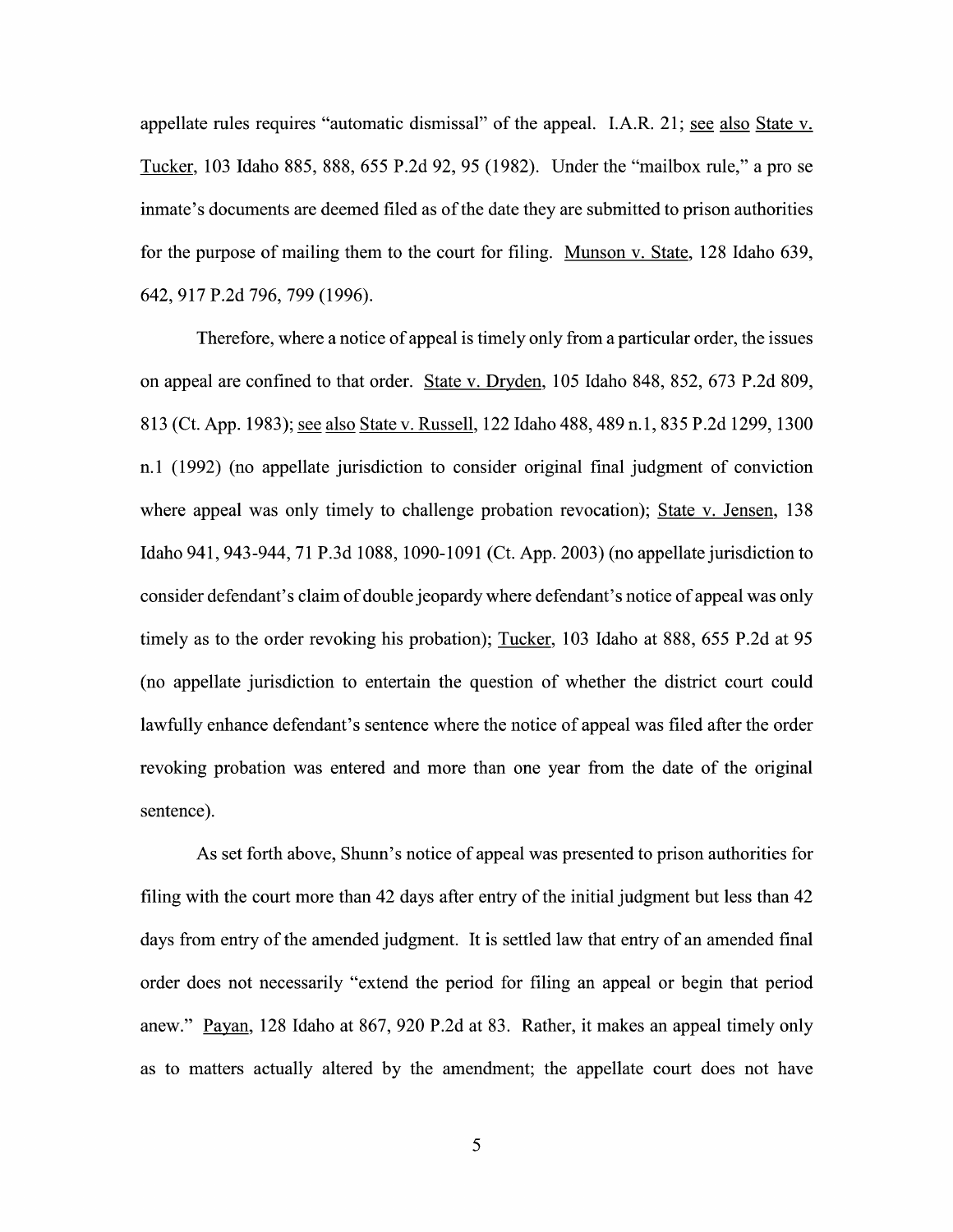appellate rules requires "automatic dismissal" of the appeal. I.A.R. 21; see also State  $v$ . Tucker, 103 Idaho 885, 888, 655 P.2d 92, 95 (1982). Under the "mailbox rule," a pro se inmate's documents are deemed filed as 0f the date they are submitted to prison authorities for the purpose of mailing them to the court for filing. Munson v. State, 128 Idaho 639, 642, 917 P.2d 796, 799 (1996).

Therefore, where a notice of appeal is timely only from a particular order, the issues 0n appeal are confined to that order. State V. Dryden, 105 Idaho 848, 852, 673 P.2d 809, 813 (Ct. App. 1983); see also State v. Russell, 122 Idaho 488, 489 n.1, 835 P.2d 1299, 1300 n.1 (1992) (no appellate jurisdiction to consider original final judgment 0f conviction where appeal was only timely to challenge probation revocation); State v. Jensen, 138 Idaho 941, 943-944, 71 P.3d 1088, 1090-1091 (Ct. App. 2003) (n0 appellate jurisdiction to consider defendant's claim 0f double jeopardy Where defendant's notice 0f appeal was only timely as to the order revoking his probation); Tucker, 103 Idaho at 888, 655 P.2d at 95 (no appellate jurisdiction t0 entertain the question of Whether the district court could lawfully enhance defendant's sentence Where the notice of appeal was filed after the order revoking probation was entered and more than one year from the date of the original sentence).

As set forth above, Shunn's notice of appeal was presented to prison authorities for filing with the court more than 42 days after entry of the initial judgment but less than 42 days from entry of the amended judgment. It is settled law that entry of an amended final order does not necessarily "extend the period for filing an appeal or begin that period anew." Payan, 128 Idaho at 867, 920 P.2d at 83. Rather, it makes an appeal timely only as to matters actually altered by the amendment; the appellate court does not have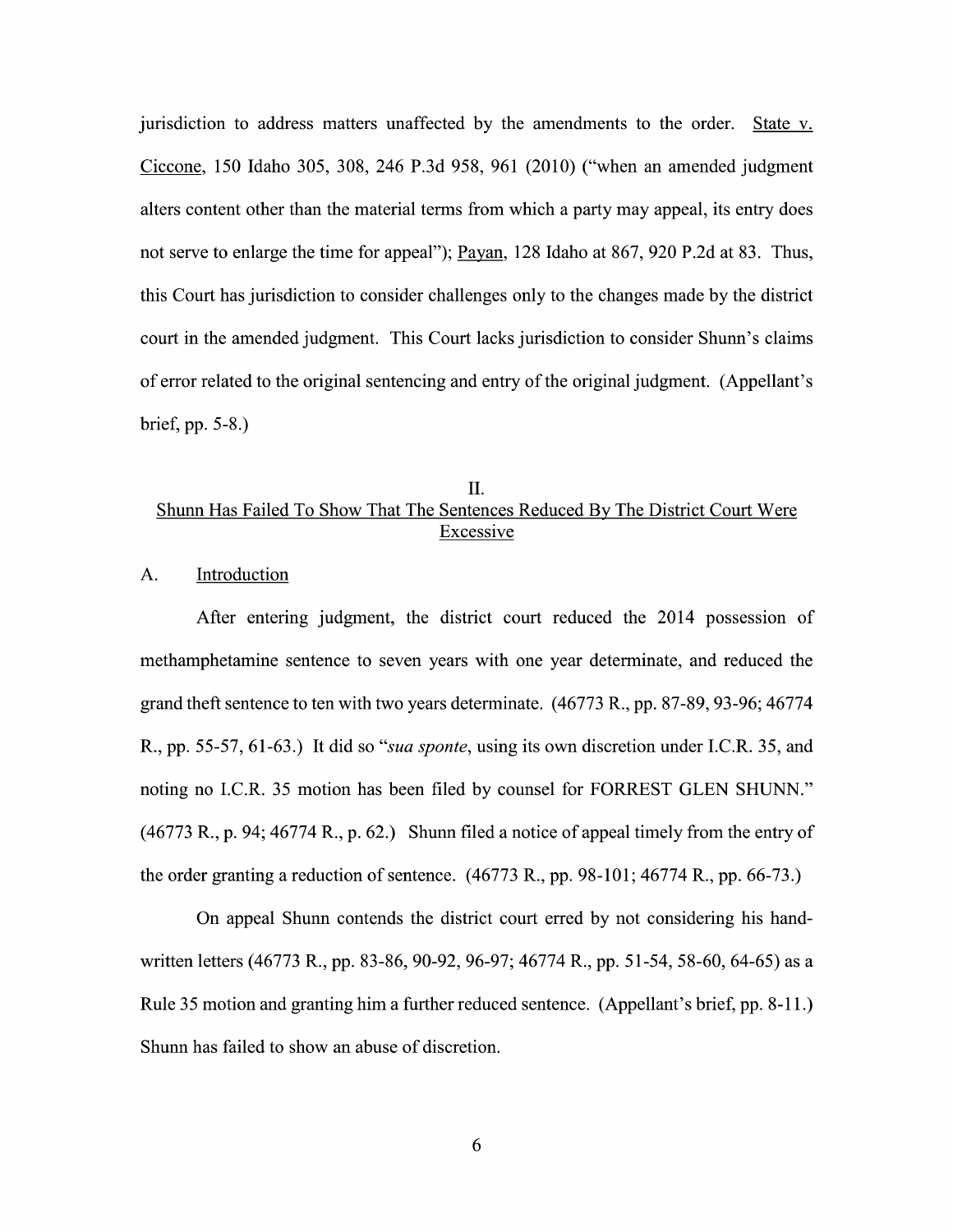jurisdiction to address matters unaffected by the amendments to the order. State v.<br>Ciccone, 150 Idaho 305, 308, 246 P.3d 958, 961 (2010) ("when an amended judgment alters content other than the material terms from which a party may appeal, its entry does not serve to enlarge the time for appeal"); Payan, 128 Idaho at 867, 920 P.2d at 83. Thus, this Court has jurisdiction to consider challenges only to the changes made by the district court in the amended judgment. This Court lacks jurisdiction to consider Shunn's claims 0f error related to the original sentencing and entry of the original judgment. (Appellant's brief, pp. 5-8.)

## II. Shunn Has Failed To Show That The Sentences Reduced BV The District Court Were Excessive

## A. Introduction

After entering judgment, the district court reduced the 2014 possession 0f methamphetamine sentence to seven years With one year determinate, and reduced the grand theft sentence to ten with two years determinate. (46773 R., pp. 87-89, 93-96; 46774 R., pp. 55-57, 61-63.) It did so "sua sponte, using its own discretion under I.C.R. 35, and noting n0 I.C.R. <sup>35</sup> motion has been filed by counsel for FORREST GLEN SHUNN."  $(46773 \text{ R}., p. 94; 46774 \text{ R}., p. 62.)$  Shunn filed a notice of appeal timely from the entry of the order granting a reduction of sentence.  $(46773 \text{ R}., \text{pp. } 98-101; 46774 \text{ R}., \text{pp. } 66-73.)$ 

On appeal Shunn contends the district court erred by not considering his handwritten letters (46773 R., pp. 83-86, 90-92, 96-97; 46774 R., pp. 51-54, 58-60, 64-65) as a<br>Rule 35 motion and granting him a further reduced sentence. (Appellant's brief, pp. 8-11.) Shunn has failed to show an abuse of discretion.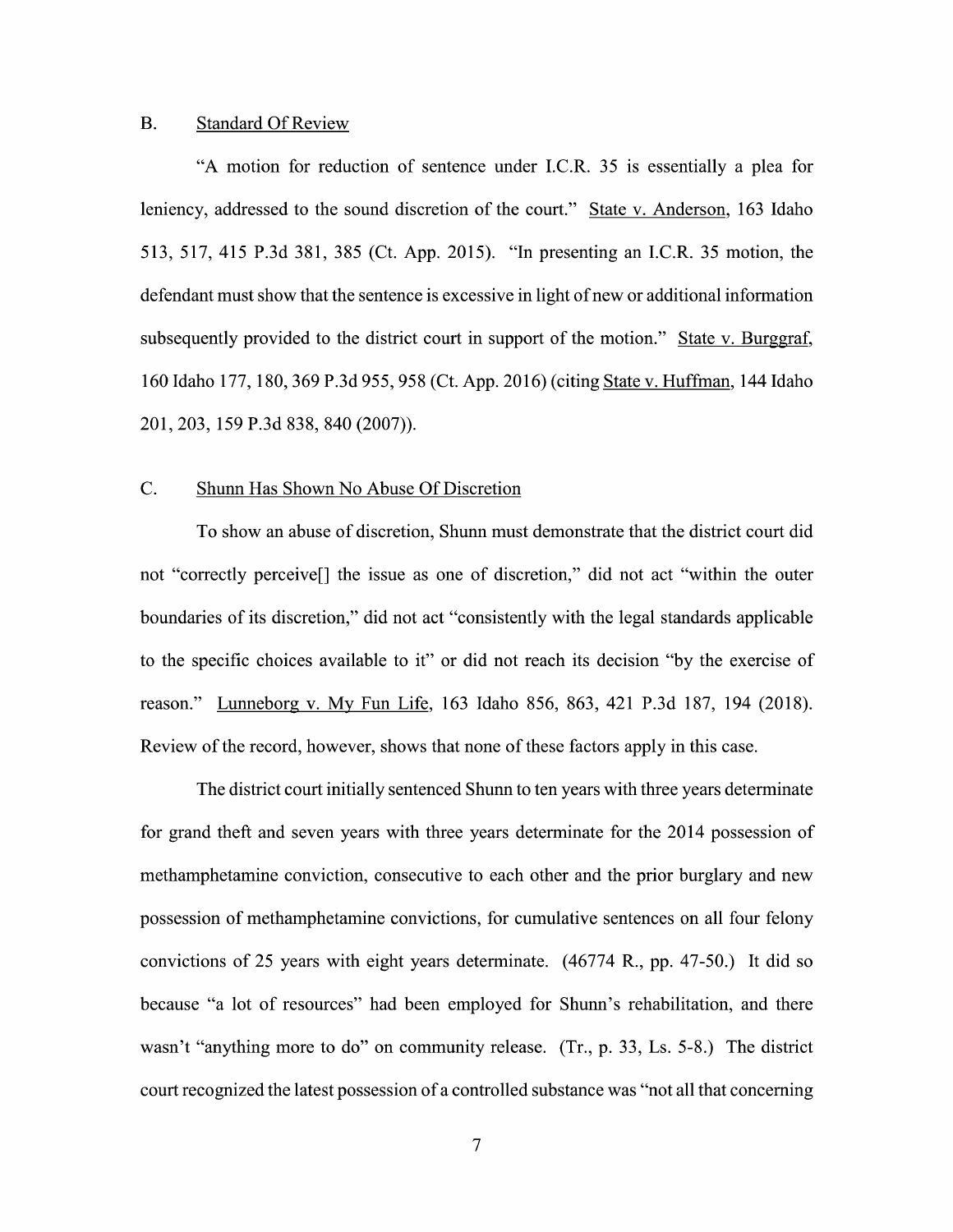### B. Standard Of Review

"A motion for reduction of sentence under I.C.R.  $35$  is essentially a plea for leniency, addressed to the sound discretion of the court." State v. Anderson, 163 Idaho 513, 517, 415 P.3d 381, 385 (Ct. App. 2015). "In presenting an I.C.R. 35 motion, the defendant must show that the sentence is excessive in light of new or additional information subsequently provided to the district court in support of the motion." State v. Burggraf, <sup>160</sup> Idaho 177, 180, <sup>369</sup> P.3d 955, <sup>958</sup> (Ct. App. 2016) (citing State V. Huffman, <sup>144</sup> Idaho 201, 203, 159 P.3d 838, 840 (2007)).

## C. Shunn Has Shown No Abuse Of Discretion

To show an abuse of discretion, Shunn must demonstrate that the district court did not "correctly perceive[] the issue as one of discretion," did not act "within the outer boundaries of its discretion," did not act "consistently With the legal standards applicable to the specific choices available to it" or did not reach its decision "by the exercise of reason." Lunneborg V. MV Fun Life, <sup>163</sup> Idaho 856, 863, <sup>421</sup> P.3d 187, <sup>194</sup> (2018). Review 0f the record, however, shows that none of these factors apply in this case.

The district court initially sentenced Shunn to ten years with three years determinate for grand theft and seven years with three years determinate for the 2014 possession of methamphetamine conviction, consecutive to each other and the prior burglary and new possession 0f methamphetamine convictions, for cumulative sentences on all four felony convictions of 25 years with eight years determinate. (46774 R., pp. 47-50.) It did so because "a lot of resources" had been employed for Shunn's rehabilitation, and there wasn't "anything more to do" on community release.  $(Tr, p. 33, Ls. 5-8)$  The district court recognized the latest possession of a controlled substance was "not all that concerning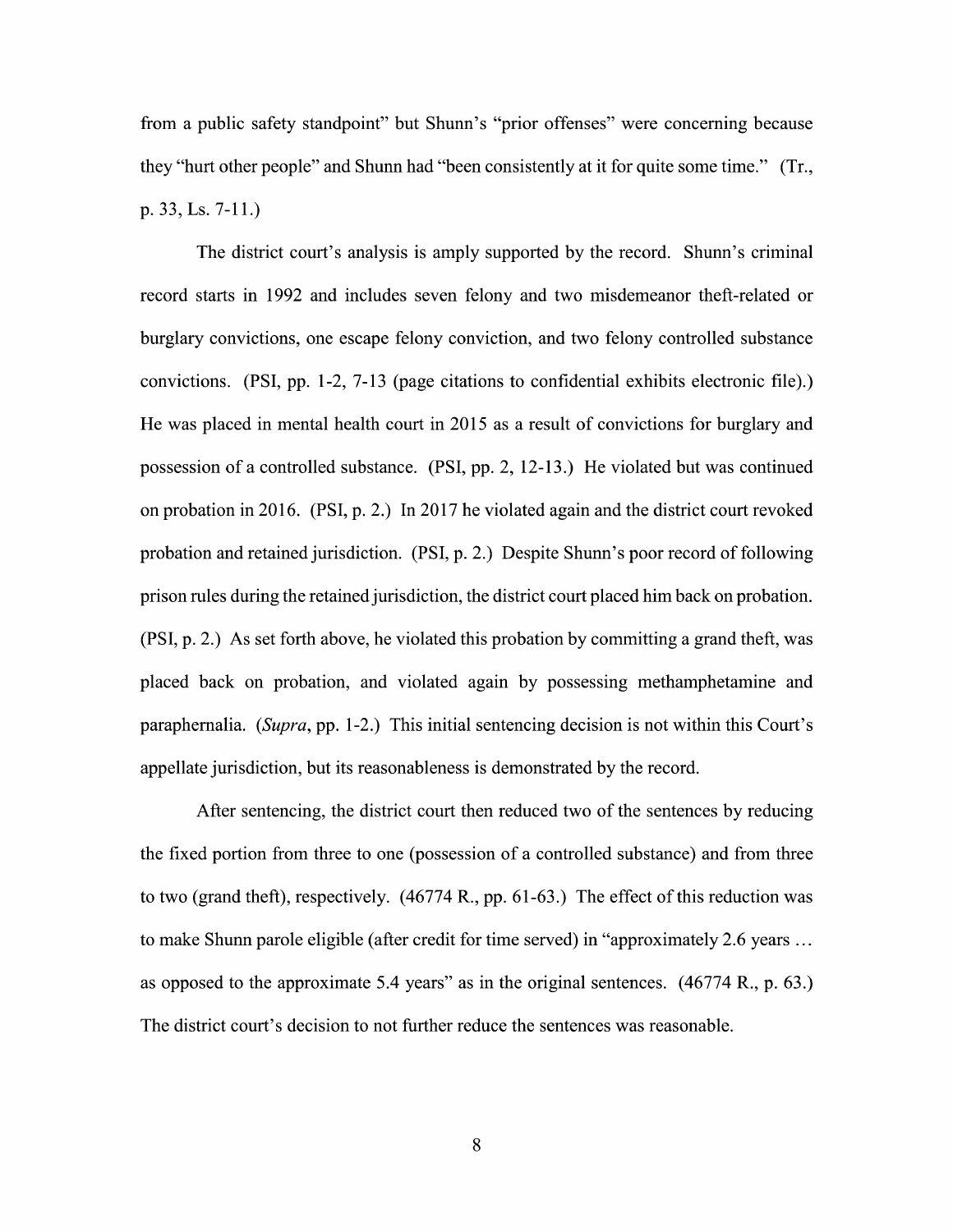from a public safety standpoint" but Shunn's "prior offenses" were concerning because they "hurt other people" and Shunn had "been consistently at it for quite some time." (Tr., p. 33, Ls. 7-11.)

The district court's analysis is amply supported by the record. Shunn's criminal record starts in 1992 and includes seven felony and two misdemeanor theft-related or burglary convictions, one escape felony conviction, and two felony controlled substance convictions. (PSI, pp. 1-2, 7-13 (page citations to confidential exhibits electronic file).) He was placed in mental health court in 2015 as a result of convictions for burglary and possession of a controlled substance. (PSI, pp. 2, 12-13.) He violated but was continued on probation in 2016. (PSI, p. 2.) In 2017 he violated again and the district court revoked probation and retained jurisdiction. (PSI, p. 2.) Despite Shunn's poor record of following prison rules during the retained jurisdiction, the district court placed him back on probation. (PSI, p. 2.) As set forth above, he violated this probation by committing a grand theft, was placed back 0n probation, and violated again by possessing methamphetamine and paraphernalia. (Supra, pp. 1-2.) This initial sentencing decision is not within this Court's appellate jurisdiction, but its reasonableness is demonstrated by the record.

After sentencing, the district court then reduced two of the sentences by reducing the fixed portion from three to one (possession of a controlled substance) and from three to two (grand theft), respectively. (46774 R., pp. 61-63.) The effect 0f this reduction was to make Shunn parole eligible (after credit for time served) in "approximately 2.6 years  $\dots$ as opposed to the approximate 5.4 years" as in the original sentences.  $(46774 \text{ R}., p. 63.)$ The district court's decision to not further reduce the sentences was reasonable.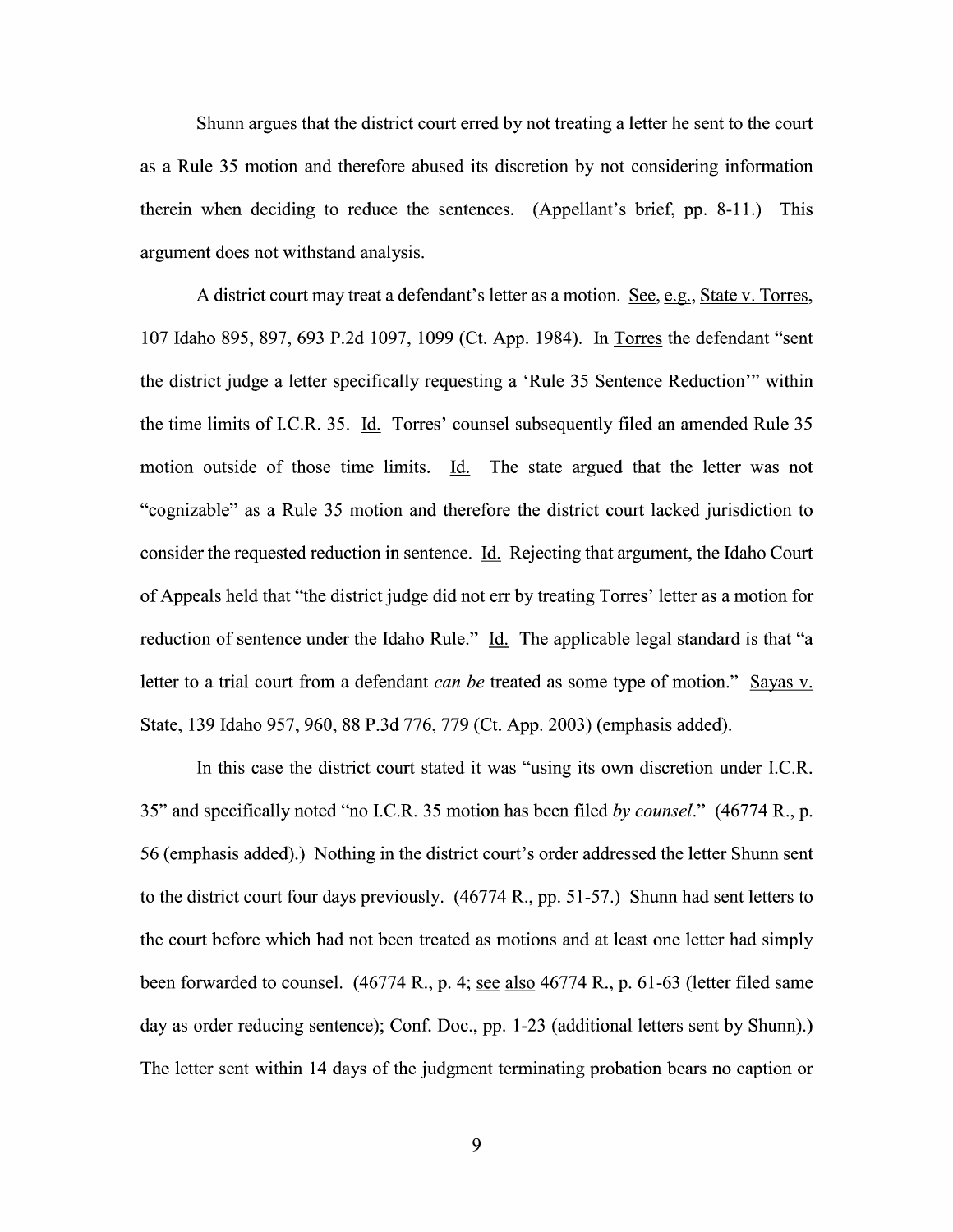Shunn argues that the district court erred by not treating a letter he sent to the court as Rule <sup>35</sup> motion and therefore abused its discretion by not considering information therein When deciding t0 reduce the sentences. (Appellant's brief, pp. 8-1 1.) This argument does not withstand analysis.

A district court may treat a defendant's letter as a motion. See, e.g., State v. Torres, <sup>107</sup> Idaho 895, 897, <sup>693</sup> P.2d 1097, <sup>1099</sup> (Ct. App. 1984). In the defendant "sent the district judge a letter specifically requesting a 'Rule 35 Sentence Reduction'" within<br>the time limits of I.C.R. 35. <u>Id.</u> Torres' counsel subsequently filed an amended Rule 35 motion outside of those time limits. Id. The state argued that the letter was not "cognizable" as Rule 35 motion and therefore the district court lacked jurisdiction to consider the requested reduction in sentence. Li. Rejecting that argument, the Idaho Court of Appeals held that "the district judge did not err by treating Torres' letter as motion for reduction of sentence under the Idaho Rule." Id. The applicable legal standard is that "a letter to a trial court from a defendant *can be* treated as some type of motion." Sayas v. State, 139 Idaho 957, 960, 88 P.3d 776, 779 (Ct. App. 2003) (emphasis added).

In this case the district court stated it was "using its own discretion under I.C.R. 35" and specifically noted "no I.C.R. 35 motion has been filed by counsel." (46774 R., p. 56 (emphasis added).) Nothing in the district court's order addressed the letter Shunn sent to the district court four days previously. (46774 R., pp. 51-57.) Shunn had sent letters to the court before Which had not been treated as motions and at least one letter had simply been forwarded to counsel.  $(46774 \text{ R}., p. 4; \text{see also } 46774 \text{ R}., p. 61-63$  (letter filed same day as order reducing sentence); Conf. Doc., pp. 1-23 (additional letters sent by Shunn).) The letter sent within 14 days of the judgment terminating probation bears no caption or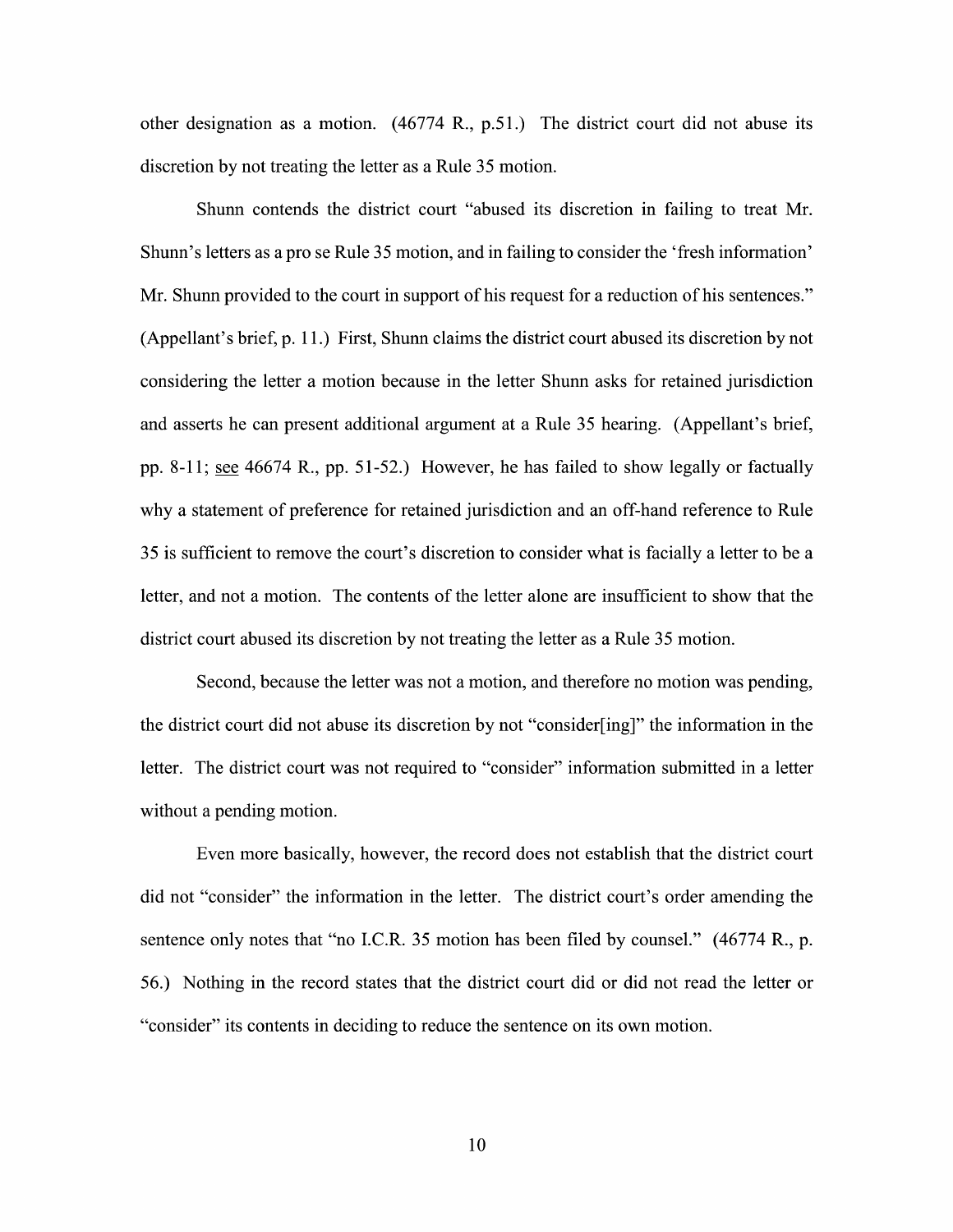other designation as a motion.  $(46774 \text{ R}, \text{p.51})$  The district court did not abuse its discretion by not treating the letter as a Rule 35 motion.

Shunn contends the district court "abused its discretion in failing to treat Mr. Shunn's letters as a pro se Rule 35 motion, and in failing to consider the 'fresh information' Mr. Shunn provided to the court in support of his request for a reduction of his sentences." (Appellant's brief, p. 11.) First, Shunn claims the district court abused its discretion by not considering the letter a motion because in the letter Shunn asks for retained jurisdiction and asserts he can present additional argument at a Rule 35 hearing. (Appellant's brief, pp. 8-11; see 46674 R., pp. 51-52.) However, he has failed to show legally or factually why a statement of preference for retained jurisdiction and an off-hand reference to Rule 35 is sufficient to remove the court's discretion to consider what is facially a letter to be a letter, and not a motion. The contents of the letter alone are insufficient to show that the district court abused its discretion by not treating the letter as a Rule 35 motion.

Second, because the letter was not a motion, and therefore no motion was pending, the district court did not abuse its discretion by not "consider[ing]" the information in the letter. The district court was not required to "consider" information submitted in a letter without a pending motion.

Even more basically, however, the record does not establish that the district court did not "consider" the information in the letter. The district court's order amending the sentence only notes that "no I.C.R. 35 motion has been filed by counsel." (46774 R., p. 56.) Nothing in the record states that the district court did or did not read the letter or "consider" its contents in deciding to reduce the sentence on its own motion.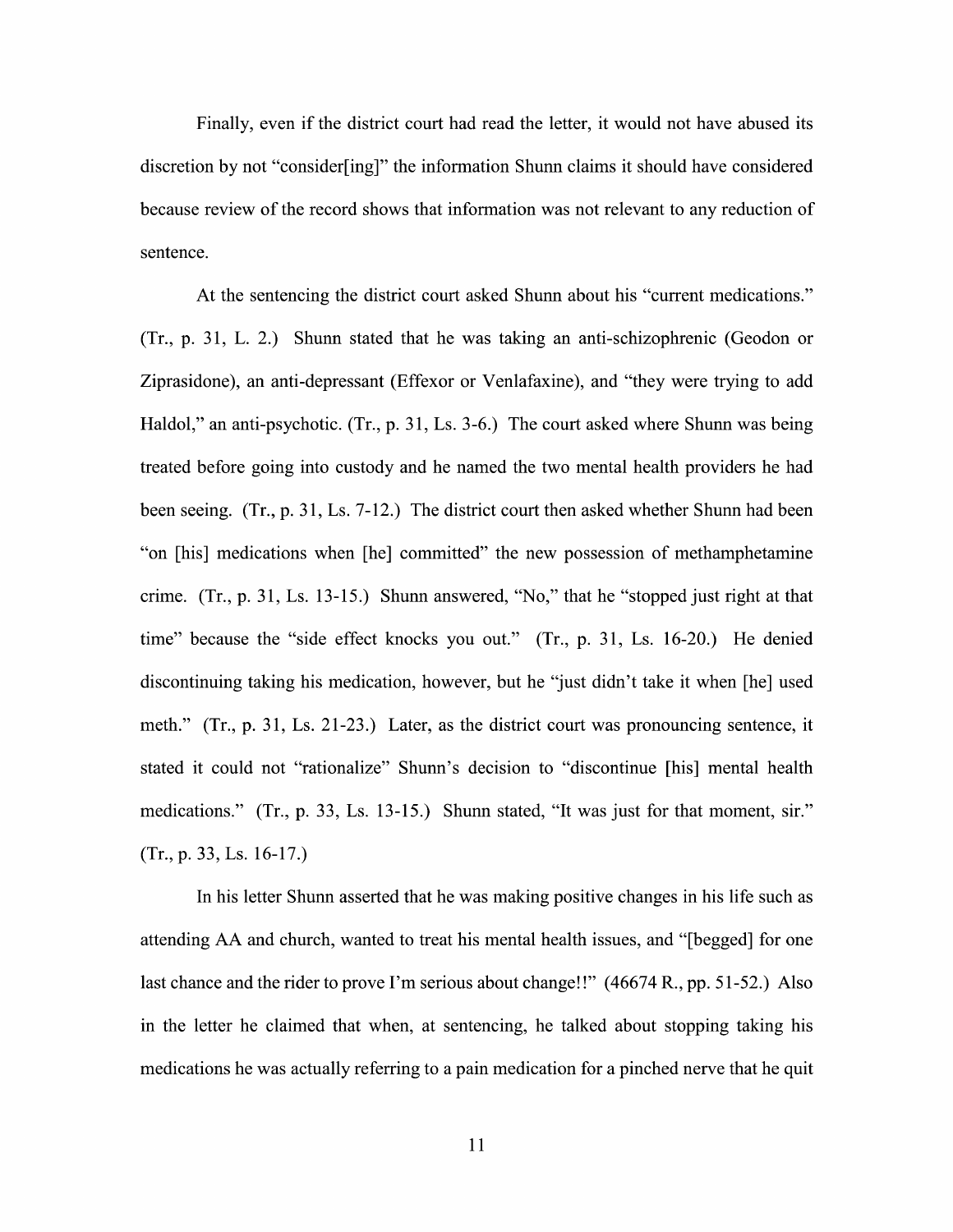Finally, even if the district court had read the letter, it would not have abused its discretion by not "consider[ing]" the information Shunn claims it should have considered because review 0f the record shows that information was not relevant to any reduction of sentence.

At the sentencing the district court asked Shunn about his "current medications."  $(Tr, p. 31, L. 2.)$  Shunn stated that he was taking an anti-schizophrenic (Geodon or Ziprasidone), an anti-depressant (Effexor or Venlafaxine), and "they were trying to add Haldol," an anti-psychotic. (Tr., p. 31, Ls. 3-6.) The court asked where Shunn was being treated before going into custody and he named the two mental health providers he had been seeing. (Tr., p. 31, Ls.  $7-12$ .) The district court then asked whether Shunn had been "on [his] medications when [he] committed" the new possession 0f methamphetamine crime.  $(Tr, p. 31, Ls. 13-15)$  Shunn answered, "No," that he "stopped just right at that time" because the "side effect knocks you out." (Tr., p. 31, Ls. 16-20.) He denied discontinuing taking his medication, however, but he "just didn't take it when [he] used meth." (Tr., p. 31, Ls. 21-23.) Later, as the district court was pronouncing sentence, it stated it could not "rationalize" Shunn's decision to "discontinue [his] mental health medications." (Tr., p. 33, Ls. 13-15.) Shunn stated, "It was just for that moment, sir."  $(Tr., p. 33, Ls. 16-17.)$ 

In his letter Shunn asserted that he was making positive changes in his life such as attending AA and church, wanted to treat his mental health issues, and "[begged] for one last chance and the rider to prove I'm serious about change!!" (46674 R., pp. 51-52.) Also in the letter he claimed that when, at sentencing, he talked about stopping taking his medications he was actually referring to a pain medication for a pinched nerve that he quit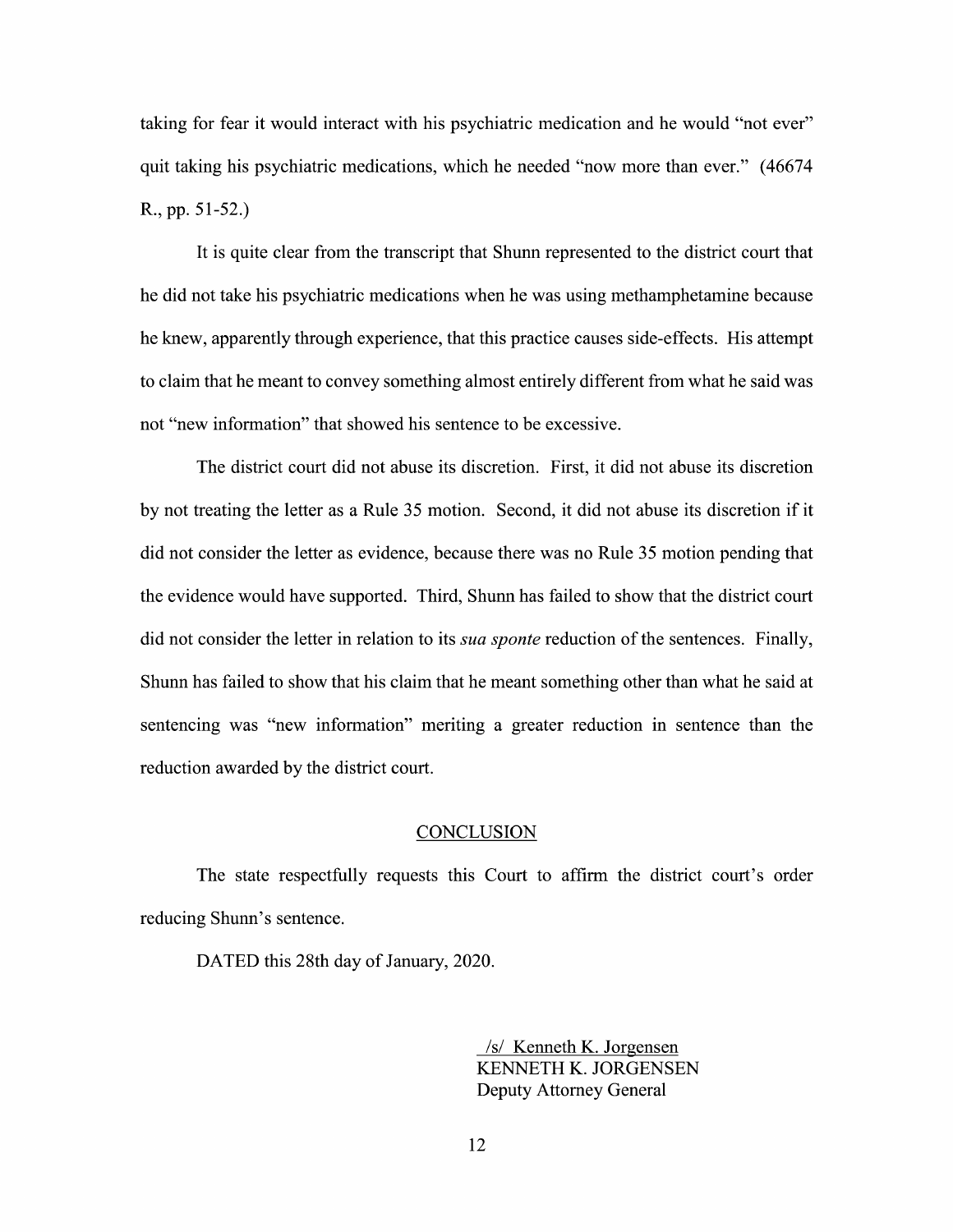taking for fear it would interact with his psychiatric medication and he would "not ever" quit taking his psychiatric medications, which he needed "now more than ever." (46674 R., pp. 51-52.)

It is quite clear from the transcript that Shunn represented to the district court that he did not take his psychiatric medications When he was using methamphetamine because he knew, apparently through experience, that this practice causes side-effects. His attempt to claim that he meant to convey something almost entirely different from what he said was not "new information" that showed his sentence t0 be excessive.

The district court did not abuse its discretion. First, it did not abuse its discretion by not treating the letter as a Rule 35 motion. Second, it did not abuse its discretion if it did not consider the letter as evidence, because there was no Rule 35 motion pending that the evidence would have supported. Third, Shunn has failed to show that the district court did not consider the letter in relation to its *sua sponte* reduction of the sentences. Finally, Shunn has failed to show that his claim that he meant something other than What he said at sentencing was "new information" meriting a greater reduction in sentence than the reduction awarded by the district court.

#### **CONCLUSION**

The state respectfully requests this Court to affirm the district court's order reducing Shunn's sentence.

DATED this 28th day of January, 2020.

/s/ Kenneth K. Jorgensen KENNETH K. JORGENSEN Deputy Attorney General